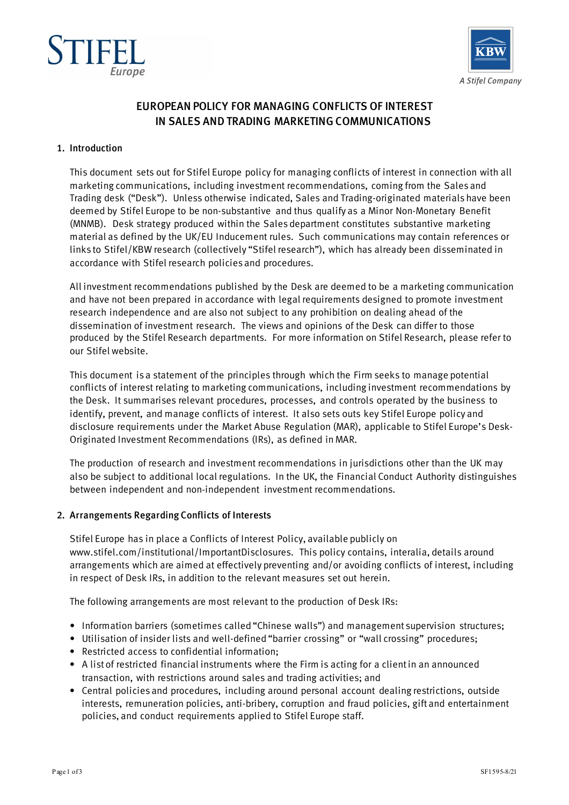



# EUROPEAN POLICY FOR MANAGING CONFLICTS OF INTEREST IN SALES AND TRADING MARKETING COMMUNICATIONS

#### 1. Introduction

This document sets out for Stifel Europe policy for managing conflicts of interest in connection with all marketing communications, including investment recommendations, coming from the Sales and Trading desk ("Desk"). Unless otherwise indicated, Sales and Trading-originated materials have been deemed by Stifel Europe to be non-substantive and thus qualify as a Minor Non-Monetary Benefit (MNMB). Desk strategy produced within the Sales department constitutes substantive marketing material as defined by the UK/EU Inducement rules. Such communications may contain references or links to Stifel/KBW research (collectively "Stifel research"), which has already been disseminated in accordance with Stifel research policies and procedures.

All investment recommendations published by the Desk are deemed to be a marketing communication and have not been prepared in accordance with legal requirements designed to promote investment research independence and are also not subject to any prohibition on dealing ahead of the dissemination of investment research. The views and opinions of the Desk can differ to those produced by the Stifel Research departments. For more information on Stifel Research, please refer to our Stifel website.

This document is a statement of the principles through which the Firm seeks to manage potential conflicts of interest relating to marketing communications, including investment recommendations by the Desk. It summarises relevant procedures, processes, and controls operated by the business to identify, prevent, and manage conflicts of interest. It also sets outs key Stifel Europe policy and disclosure requirements under the Market Abuse Regulation (MAR), applicable to Stifel Europe's Desk-Originated Investment Recommendations (IRs), as defined in MAR.

The production of research and investment recommendations in jurisdictions other than the UK may also be subject to additional local regulations. In the UK, the Financial Conduct Authority distinguishes between independent and non‐independent investment recommendations.

# 2. Arrangements Regarding Conflicts of Interests

Stifel Europe has in place a Conflicts of Interest Policy, available publicly on www.stifel.com/institutional/ImportantDisclosures. This policy contains, interalia, details around arrangements which are aimed at effectively preventing and/or avoiding conflicts of interest, including in respect of Desk IRs, in addition to the relevant measures set out herein.

The following arrangements are most relevant to the production of Desk IRs:

- Information barriers (sometimes called "Chinese walls") and management supervision structures;
- Utilisation of insider lists and well-defined "barrier crossing" or "wall crossing" procedures;
- Restricted access to confidential information;
- A list of restricted financial instruments where the Firm is acting for a client in an announced transaction, with restrictions around sales and trading activities; and
- Central policies and procedures, including around personal account dealing restrictions, outside interests, remuneration policies, anti-bribery, corruption and fraud policies, gift and entertainment policies, and conduct requirements applied to Stifel Europe staff.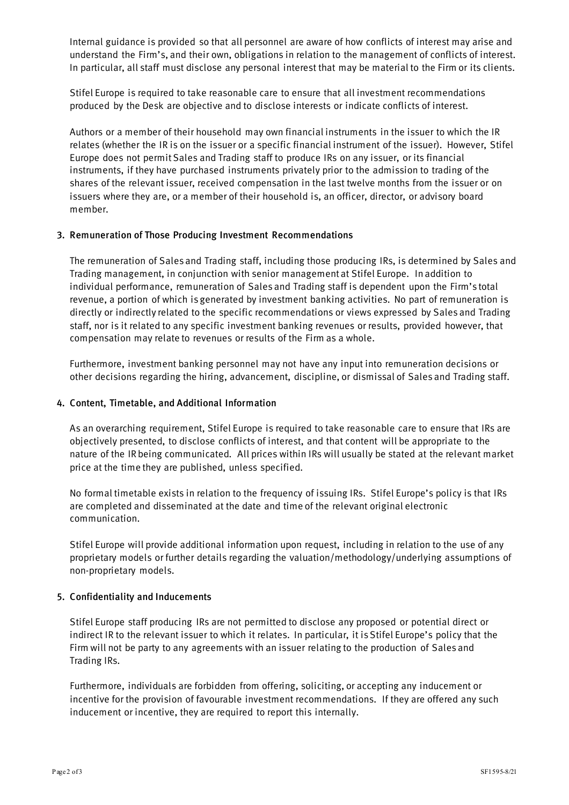Internal guidance is provided so that all personnel are aware of how conflicts of interest may arise and understand the Firm's, and their own, obligations in relation to the management of conflicts of interest. In particular, all staff must disclose any personal interest that may be material to the Firm or its clients.

Stifel Europe is required to take reasonable care to ensure that all investment recommendations produced by the Desk are objective and to disclose interests or indicate conflicts of interest.

Authors or a member of their household may own financial instruments in the issuer to which the IR relates (whether the IR is on the issuer or a specific financial instrument of the issuer). However, Stifel Europe does not permit Sales and Trading staff to produce IRs on any issuer, or its financial instruments, if they have purchased instruments privately prior to the admission to trading of the shares of the relevant issuer, received compensation in the last twelve months from the issuer or on issuers where they are, or a member of their household is, an officer, director, or advisory board member.

## 3. Remuneration of Those Producing Investment Recommendations

The remuneration of Sales and Trading staff, including those producing IRs, is determined by Sales and Trading management, in conjunction with senior management at Stifel Europe. In addition to individual performance, remuneration of Sales and Trading staff is dependent upon the Firm's total revenue, a portion of which is generated by investment banking activities. No part of remuneration is directly or indirectly related to the specific recommendations or views expressed by Sales and Trading staff, nor is it related to any specific investment banking revenues or results, provided however, that compensation may relate to revenues or results of the Firm as a whole.

Furthermore, investment banking personnel may not have any input into remuneration decisions or other decisions regarding the hiring, advancement, discipline, or dismissal of Sales and Trading staff.

#### 4. Content, Timetable, and Additional Information

As an overarching requirement, Stifel Europe is required to take reasonable care to ensure that IRs are objectively presented, to disclose conflicts of interest, and that content will be appropriate to the nature of the IR being communicated. All prices within IRs will usually be stated at the relevant market price at the time they are published, unless specified.

No formal timetable exists in relation to the frequency of issuing IRs. Stifel Europe's policy is that IRs are completed and disseminated at the date and time of the relevant original electronic communication.

Stifel Europe will provide additional information upon request, including in relation to the use of any proprietary models or further details regarding the valuation/methodology/underlying assumptions of non-proprietary models.

#### 5. Confidentiality and Inducements

Stifel Europe staff producing IRs are not permitted to disclose any proposed or potential direct or indirect IR to the relevant issuer to which it relates. In particular, it is Stifel Europe's policy that the Firm will not be party to any agreements with an issuer relating to the production of Sales and Trading IRs.

Furthermore, individuals are forbidden from offering, soliciting, or accepting any inducement or incentive for the provision of favourable investment recommendations. If they are offered any such inducement or incentive, they are required to report this internally.